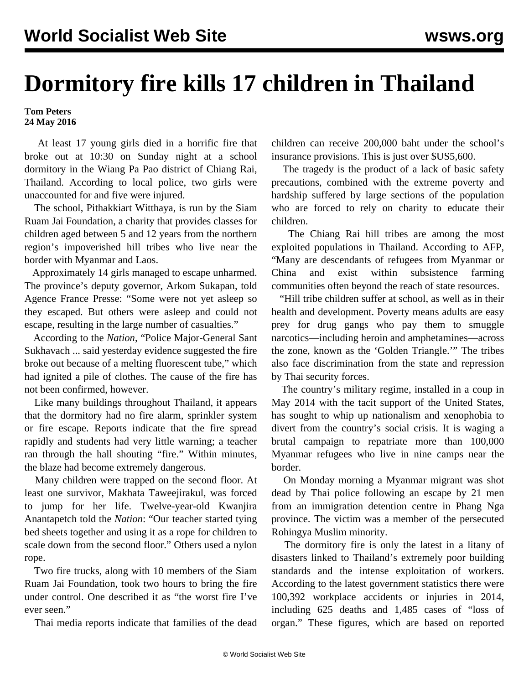## **Dormitory fire kills 17 children in Thailand**

## **Tom Peters 24 May 2016**

 At least 17 young girls died in a horrific fire that broke out at 10:30 on Sunday night at a school dormitory in the Wiang Pa Pao district of Chiang Rai, Thailand. According to local police, two girls were unaccounted for and five were injured.

 The school, Pithakkiart Witthaya, is run by the Siam Ruam Jai Foundation, a charity that provides classes for children aged between 5 and 12 years from the northern region's impoverished hill tribes who live near the border with Myanmar and Laos.

 Approximately 14 girls managed to escape unharmed. The province's deputy governor, Arkom Sukapan, told Agence France Presse: "Some were not yet asleep so they escaped. But others were asleep and could not escape, resulting in the large number of casualties."

 According to the *Nation*, "Police Major-General Sant Sukhavach ... said yesterday evidence suggested the fire broke out because of a melting fluorescent tube," which had ignited a pile of clothes. The cause of the fire has not been confirmed, however.

 Like many buildings throughout Thailand, it appears that the dormitory had no fire alarm, sprinkler system or fire escape. Reports indicate that the fire spread rapidly and students had very little warning; a teacher ran through the hall shouting "fire." Within minutes, the blaze had become extremely dangerous.

 Many children were trapped on the second floor. At least one survivor, Makhata Taweejirakul, was forced to jump for her life. Twelve-year-old Kwanjira Anantapetch told the *Nation*: "Our teacher started tying bed sheets together and using it as a rope for children to scale down from the second floor." Others used a nylon rope.

 Two fire trucks, along with 10 members of the Siam Ruam Jai Foundation, took two hours to bring the fire under control. One described it as "the worst fire I've ever seen."

Thai media reports indicate that families of the dead

children can receive 200,000 baht under the school's insurance provisions. This is just over \$US5,600.

 The tragedy is the product of a lack of basic safety precautions, combined with the extreme poverty and hardship suffered by large sections of the population who are forced to rely on charity to educate their children.

 The Chiang Rai hill tribes are among the most exploited populations in Thailand. According to AFP, "Many are descendants of refugees from Myanmar or China and exist within subsistence farming communities often beyond the reach of state resources.

 "Hill tribe children suffer at school, as well as in their health and development. Poverty means adults are easy prey for drug gangs who pay them to smuggle narcotics—including heroin and amphetamines—across the zone, known as the 'Golden Triangle.'" The tribes also face discrimination from the state and repression by Thai security forces.

 The country's military regime, installed in a coup in May 2014 with the tacit support of the United States, has sought to whip up nationalism and xenophobia to divert from the country's social crisis. It is waging a brutal campaign to repatriate more than 100,000 Myanmar refugees who live in nine camps near the border.

 On Monday morning a Myanmar migrant was shot dead by Thai police following an escape by 21 men from an immigration detention centre in Phang Nga province. The victim was a member of the persecuted Rohingya Muslim minority.

 The dormitory fire is only the latest in a litany of disasters linked to Thailand's extremely poor building standards and the intense exploitation of workers. According to the latest government statistics there were 100,392 workplace accidents or injuries in 2014, including 625 deaths and 1,485 cases of "loss of organ." These figures, which are based on reported